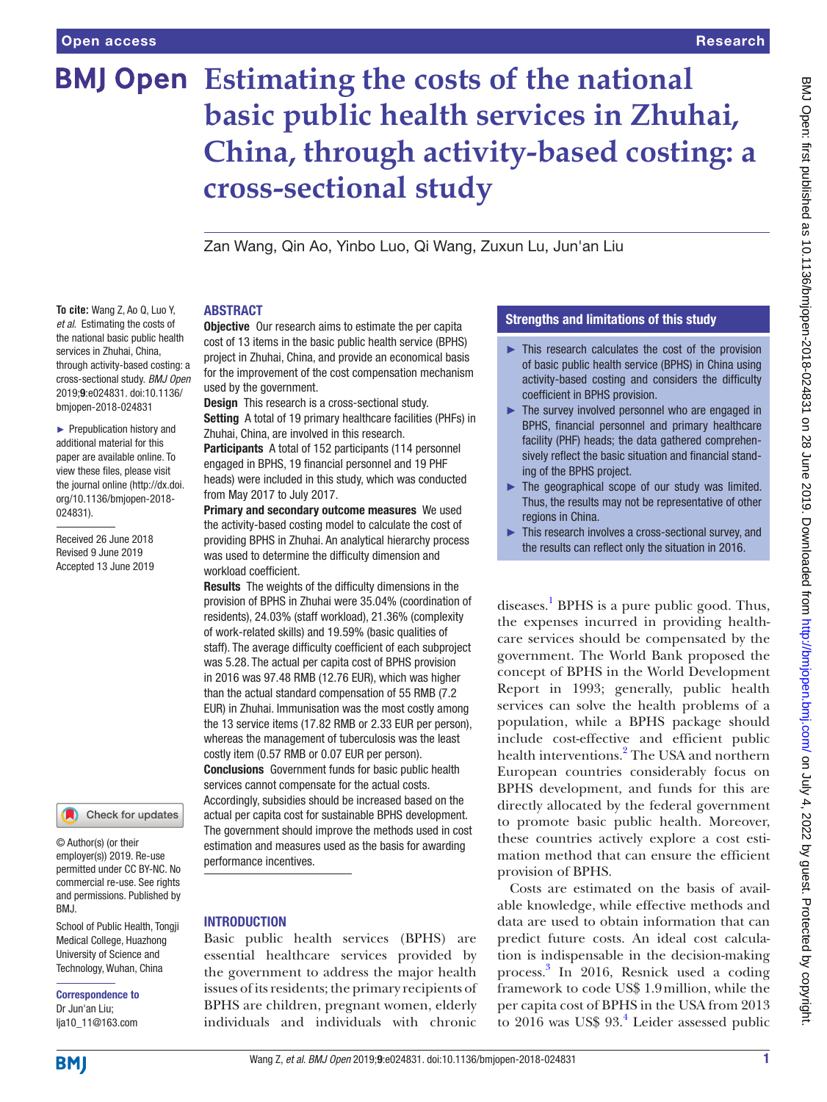# **BMJ Open** Estimating the costs of the national **basic public health services in Zhuhai, China, through activity-based costing: a cross-sectional study**

Zan Wang, Qin Ao, Yinbo Luo, Qi Wang, Zuxun Lu, Jun'an Liu

#### **ABSTRACT**

**To cite:** Wang Z, Ao Q, Luo Y, *et al*. Estimating the costs of the national basic public health services in Zhuhai, China, through activity-based costing: a cross-sectional study. *BMJ Open* 2019;9:e024831. doi:10.1136/ bmjopen-2018-024831

► Prepublication history and additional material for this paper are available online. To view these files, please visit the journal online [\(http://dx.doi.](http://dx.doi.org/10.1136/bmjopen-2018-024831) [org/10.1136/bmjopen-2018-](http://dx.doi.org/10.1136/bmjopen-2018-024831) [024831\)](http://dx.doi.org/10.1136/bmjopen-2018-024831).

Received 26 June 2018 Revised 9 June 2019 Accepted 13 June 2019

#### Check for updates

© Author(s) (or their employer(s)) 2019. Re-use permitted under CC BY-NC. No commercial re-use. See rights and permissions. Published by RM<sub>J</sub>

School of Public Health, Tongji Medical College, Huazhong University of Science and Technology, Wuhan, China

Correspondence to Dr Jun'an Liu; lja10 11@163.com **Objective** Our research aims to estimate the per capita cost of 13 items in the basic public health service (BPHS) project in Zhuhai, China, and provide an economical basis for the improvement of the cost compensation mechanism used by the government.

**Design** This research is a cross-sectional study. Setting A total of 19 primary healthcare facilities (PHFs) in Zhuhai, China, are involved in this research.

Participants A total of 152 participants (114 personnel engaged in BPHS, 19 financial personnel and 19 PHF heads) were included in this study, which was conducted from May 2017 to July 2017.

Primary and secondary outcome measures We used the activity-based costing model to calculate the cost of providing BPHS in Zhuhai. An analytical hierarchy process was used to determine the difficulty dimension and workload coefficient.

Results The weights of the difficulty dimensions in the provision of BPHS in Zhuhai were 35.04% (coordination of residents), 24.03% (staff workload), 21.36% (complexity of work-related skills) and 19.59% (basic qualities of staff). The average difficulty coefficient of each subproject was 5.28. The actual per capita cost of BPHS provision in 2016 was 97.48 RMB (12.76 EUR), which was higher than the actual standard compensation of 55 RMB (7.2 EUR) in Zhuhai. Immunisation was the most costly among the 13 service items (17.82 RMB or 2.33 EUR per person), whereas the management of tuberculosis was the least costly item (0.57 RMB or 0.07 EUR per person). Conclusions Government funds for basic public health services cannot compensate for the actual costs. Accordingly, subsidies should be increased based on the actual per capita cost for sustainable BPHS development. The government should improve the methods used in cost estimation and measures used as the basis for awarding performance incentives.

# **INTRODUCTION**

Basic public health services (BPHS) are essential healthcare services provided by the government to address the major health issues of its residents; the primary recipients of BPHS are children, pregnant women, elderly individuals and individuals with chronic

# Strengths and limitations of this study

- $\blacktriangleright$  This research calculates the cost of the provision of basic public health service (BPHS) in China using activity-based costing and considers the difficulty coefficient in BPHS provision.
- ► The survey involved personnel who are engaged in BPHS, financial personnel and primary healthcare facility (PHF) heads; the data gathered comprehensively reflect the basic situation and financial standing of the BPHS project.
- $\blacktriangleright$  The geographical scope of our study was limited. Thus, the results may not be representative of other regions in China.
- This research involves a cross-sectional survey, and the results can reflect only the situation in 2016.

diseases.<sup>1</sup> BPHS is a pure public good. Thus, the expenses incurred in providing healthcare services should be compensated by the government. The World Bank proposed the concept of BPHS in the World Development Report in 1993; generally, public health services can solve the health problems of a population, while a BPHS package should include cost-effective and efficient public health interventions.<sup>[2](#page-7-1)</sup> The USA and northern European countries considerably focus on BPHS development, and funds for this are directly allocated by the federal government to promote basic public health. Moreover, these countries actively explore a cost estimation method that can ensure the efficient provision of BPHS.

Costs are estimated on the basis of available knowledge, while effective methods and data are used to obtain information that can predict future costs. An ideal cost calculation is indispensable in the decision-making process. [3](#page-7-2) In 2016, Resnick used a coding framework to code US\$ 1.9million, while the per capita cost of BPHS in the USA from 2013 to 2016 was US\$ 93.<sup>[4](#page-7-3)</sup> Leider assessed public

**BMI**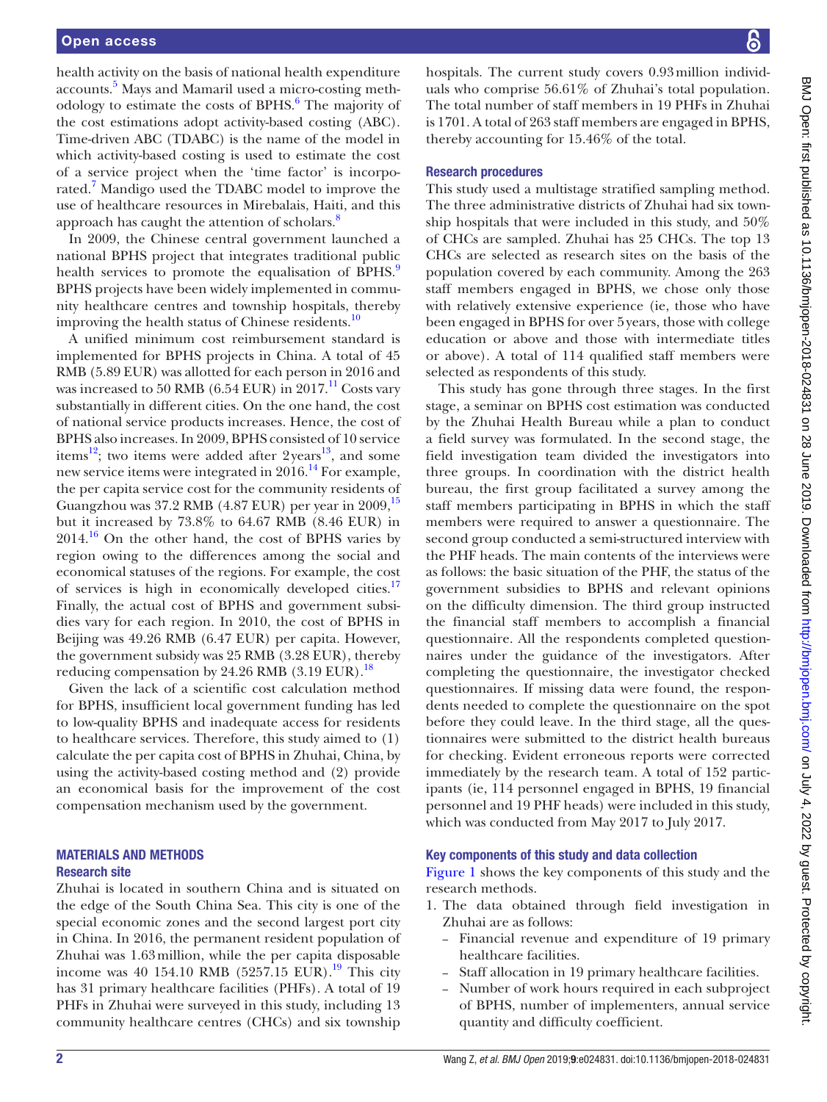health activity on the basis of national health expenditure accounts.<sup>5</sup> Mays and Mamaril used a micro-costing methodology to estimate the costs of BPHS. $<sup>6</sup>$  $<sup>6</sup>$  $<sup>6</sup>$  The majority of</sup> the cost estimations adopt activity-based costing (ABC). Time-driven ABC (TDABC) is the name of the model in which activity-based costing is used to estimate the cost of a service project when the 'time factor' is incorpo-rated.<sup>[7](#page-7-6)</sup> Mandigo used the TDABC model to improve the use of healthcare resources in Mirebalais, Haiti, and this approach has caught the attention of scholars.<sup>[8](#page-7-7)</sup>

In 2009, the Chinese central government launched a national BPHS project that integrates traditional public health services to promote the equalisation of BPHS.<sup>[9](#page-7-8)</sup> BPHS projects have been widely implemented in community healthcare centres and township hospitals, thereby improving the health status of Chinese residents. $10$ 

A unified minimum cost reimbursement standard is implemented for BPHS projects in China. A total of 45 RMB (5.89 EUR) was allotted for each person in 2016 and was increased to 50 RMB (6.54 EUR) in  $2017<sup>11</sup>$  $2017<sup>11</sup>$  $2017<sup>11</sup>$  Costs vary substantially in different cities. On the one hand, the cost of national service products increases. Hence, the cost of BPHS also increases. In 2009, BPHS consisted of 10 service items<sup>12</sup>; two items were added after  $2 \text{ years}^{13}$  $2 \text{ years}^{13}$  $2 \text{ years}^{13}$ , and some new service items were integrated in 2016.<sup>14</sup> For example, the per capita service cost for the community residents of Guangzhou was 37.2 RMB (4.87 EUR) per year in 2009,[15](#page-7-14) but it increased by 73.8% to 64.67 RMB (8.46 EUR) in  $2014<sup>16</sup>$  On the other hand, the cost of BPHS varies by region owing to the differences among the social and economical statuses of the regions. For example, the cost of services is high in economically developed cities. $\frac{17}{17}$ Finally, the actual cost of BPHS and government subsidies vary for each region. In 2010, the cost of BPHS in Beijing was 49.26 RMB (6.47 EUR) per capita. However, the government subsidy was 25 RMB (3.28 EUR), thereby reducing compensation by  $24.26$  RMB (3.19 EUR).<sup>18</sup>

Given the lack of a scientific cost calculation method for BPHS, insufficient local government funding has led to low-quality BPHS and inadequate access for residents to healthcare services. Therefore, this study aimed to (1) calculate the per capita cost of BPHS in Zhuhai, China, by using the activity-based costing method and (2) provide an economical basis for the improvement of the cost compensation mechanism used by the government.

# Materials and methods

# Research site

Zhuhai is located in southern China and is situated on the edge of the South China Sea. This city is one of the special economic zones and the second largest port city in China. In 2016, the permanent resident population of Zhuhai was 1.63million, while the per capita disposable income was 40 154.10 RMB (5257.15 EUR).<sup>19</sup> This city has 31 primary healthcare facilities (PHFs). A total of 19 PHFs in Zhuhai were surveyed in this study, including 13 community healthcare centres (CHCs) and six township

hospitals. The current study covers 0.93million individuals who comprise 56.61% of Zhuhai's total population. The total number of staff members in 19 PHFs in Zhuhai is 1701. A total of 263 staff members are engaged in BPHS, thereby accounting for 15.46% of the total.

#### Research procedures

This study used a multistage stratified sampling method. The three administrative districts of Zhuhai had six township hospitals that were included in this study, and 50% of CHCs are sampled. Zhuhai has 25 CHCs. The top 13 CHCs are selected as research sites on the basis of the population covered by each community. Among the 263 staff members engaged in BPHS, we chose only those with relatively extensive experience (ie, those who have been engaged in BPHS for over 5years, those with college education or above and those with intermediate titles or above). A total of 114 qualified staff members were selected as respondents of this study.

This study has gone through three stages. In the first stage, a seminar on BPHS cost estimation was conducted by the Zhuhai Health Bureau while a plan to conduct a field survey was formulated. In the second stage, the field investigation team divided the investigators into three groups. In coordination with the district health bureau, the first group facilitated a survey among the staff members participating in BPHS in which the staff members were required to answer a questionnaire. The second group conducted a semi-structured interview with the PHF heads. The main contents of the interviews were as follows: the basic situation of the PHF, the status of the government subsidies to BPHS and relevant opinions on the difficulty dimension. The third group instructed the financial staff members to accomplish a financial questionnaire. All the respondents completed questionnaires under the guidance of the investigators. After completing the questionnaire, the investigator checked questionnaires. If missing data were found, the respondents needed to complete the questionnaire on the spot before they could leave. In the third stage, all the questionnaires were submitted to the district health bureaus for checking. Evident erroneous reports were corrected immediately by the research team. A total of 152 participants (ie, 114 personnel engaged in BPHS, 19 financial personnel and 19 PHF heads) were included in this study, which was conducted from May 2017 to July 2017.

#### Key components of this study and data collection

[Figure](#page-2-0) 1 shows the key components of this study and the research methods.

- 1. The data obtained through field investigation in Zhuhai are as follows:
	- Financial revenue and expenditure of 19 primary healthcare facilities.
	- Staff allocation in 19 primary healthcare facilities.
	- Number of work hours required in each subproject of BPHS, number of implementers, annual service quantity and difficulty coefficient.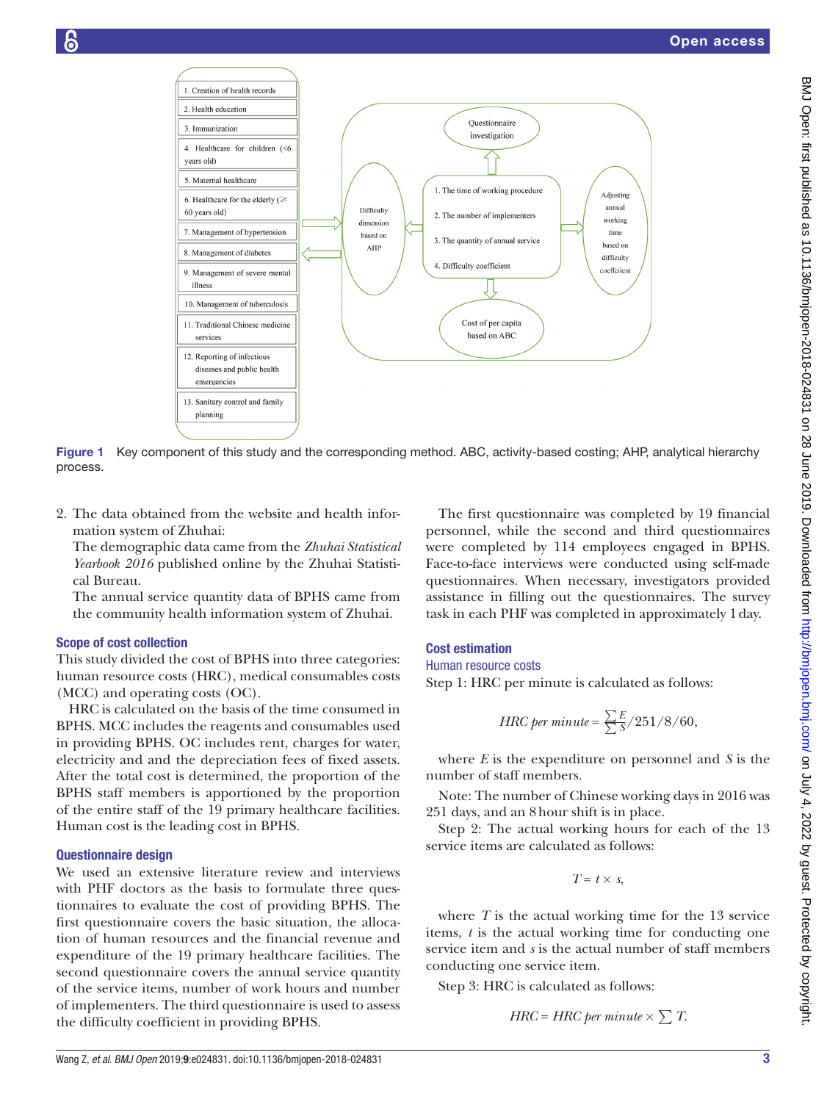

Figure 1 Key component of this study and the corresponding method. ABC, activity-based costing; AHP, analytical hierarchy process.

2. The data obtained from the website and health information system of Zhuhai:

The demographic data came from the *Zhuhai Statistical Yearbook 2016* published online by the Zhuhai Statistical Bureau.

The annual service quantity data of BPHS came from the community health information system of Zhuhai.

#### Scope of cost collection

This study divided the cost of BPHS into three categories: human resource costs (HRC), medical consumables costs (MCC) and operating costs (OC).

HRC is calculated on the basis of the time consumed in BPHS. MCC includes the reagents and consumables used in providing BPHS. OC includes rent, charges for water, electricity and and the depreciation fees of fixed assets. After the total cost is determined, the proportion of the BPHS staff members is apportioned by the proportion of the entire staff of the 19 primary healthcare facilities. Human cost is the leading cost in BPHS.

# Questionnaire design

We used an extensive literature review and interviews with PHF doctors as the basis to formulate three questionnaires to evaluate the cost of providing BPHS. The first questionnaire covers the basic situation, the allocation of human resources and the financial revenue and expenditure of the 19 primary healthcare facilities. The second questionnaire covers the annual service quantity of the service items, number of work hours and number of implementers. The third questionnaire is used to assess the difficulty coefficient in providing BPHS.

<span id="page-2-0"></span>The first questionnaire was completed by 19 financial personnel, while the second and third questionnaires were completed by 114 employees engaged in BPHS. Face-to-face interviews were conducted using self-made questionnaires. When necessary, investigators provided assistance in filling out the questionnaires. The survey task in each PHF was completed in approximately 1day.

# Cost estimation

#### Human resource costs

Step 1: HRC per minute is calculated as follows:

$$
HRC\ per\ minute = \frac{\sum E}{\sum S}/251/8/60,
$$

where *E* is the expenditure on personnel and *S* is the number of staff members.

Note: The number of Chinese working days in 2016 was 251 days, and an 8hour shift is in place.

Step 2: The actual working hours for each of the 13 service items are calculated as follows:

 $T = t \times s$ 

where *T* is the actual working time for the 13 service items, *t* is the actual working time for conducting one service item and *s* is the actual number of staff members conducting one service item.

Step 3: HRC is calculated as follows:

$$
HRC = HRC per minute \times \sum T.
$$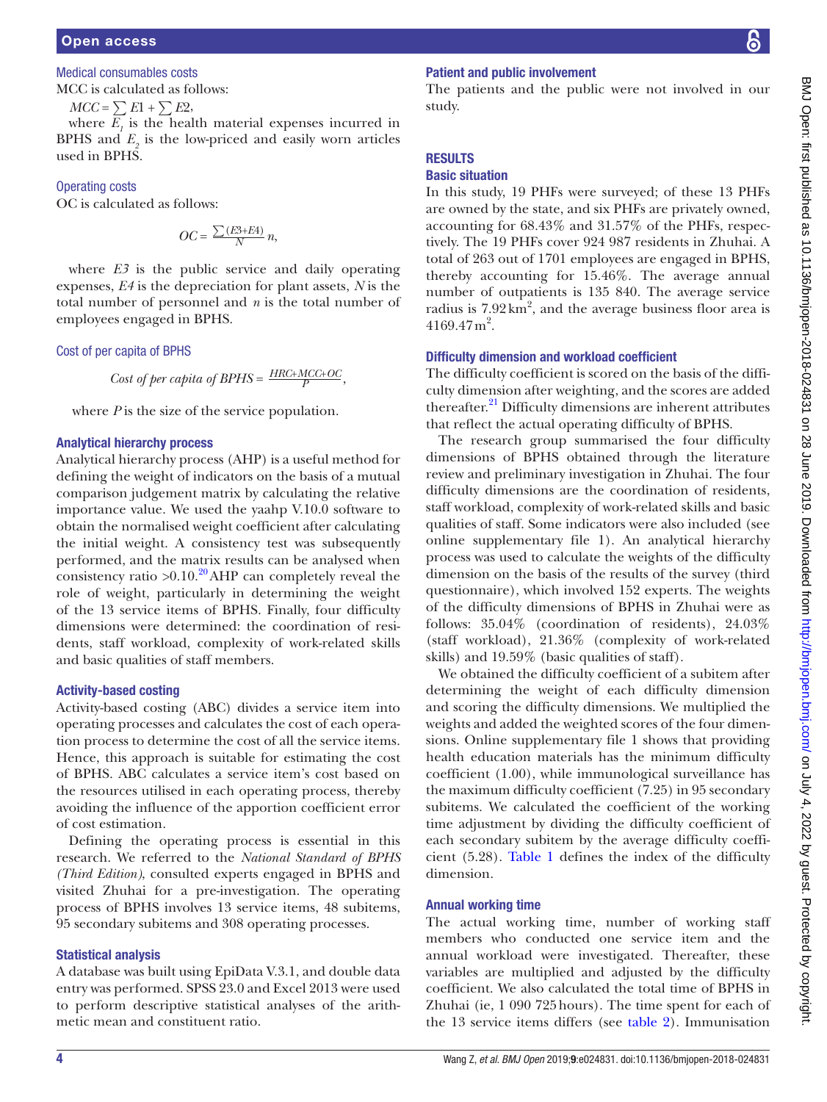#### Medical consumables costs

MCC is calculated as follows:

 $MCC = \sum E1 + \sum E2$ 

where  $E_i$  is the health material expenses incurred in BPHS and  $E_2$  is the low-priced and easily worn articles used in BPHS.

Operating costs

OC is calculated as follows:

$$
OC = \frac{\sum (E3 + E4)}{N} n,
$$

where *E3* is the public service and daily operating expenses, *E4* is the depreciation for plant assets, *N* is the total number of personnel and *n* is the total number of employees engaged in BPHS.

Cost of per capita of BPHS

Cost of per capita of BPHS = 
$$
\frac{HRC+MCC+OC}{P}
$$
,

where *P* is the size of the service population.

#### Analytical hierarchy process

Analytical hierarchy process (AHP) is a useful method for defining the weight of indicators on the basis of a mutual comparison judgement matrix by calculating the relative importance value. We used the yaahp V.10.0 software to obtain the normalised weight coefficient after calculating the initial weight. A consistency test was subsequently performed, and the matrix results can be analysed when consistency ratio  $>0.10$ .<sup>[20](#page-7-19)</sup> AHP can completely reveal the role of weight, particularly in determining the weight of the 13 service items of BPHS. Finally, four difficulty dimensions were determined: the coordination of residents, staff workload, complexity of work-related skills and basic qualities of staff members.

#### Activity-based costing

Activity-based costing (ABC) divides a service item into operating processes and calculates the cost of each operation process to determine the cost of all the service items. Hence, this approach is suitable for estimating the cost of BPHS. ABC calculates a service item's cost based on the resources utilised in each operating process, thereby avoiding the influence of the apportion coefficient error of cost estimation.

Defining the operating process is essential in this research. We referred to the *National Standard of BPHS (Third Edition)*, consulted experts engaged in BPHS and visited Zhuhai for a pre-investigation. The operating process of BPHS involves 13 service items, 48 subitems, 95 secondary subitems and 308 operating processes.

#### Statistical analysis

A database was built using EpiData V.3.1, and double data entry was performed. SPSS 23.0 and Excel 2013 were used to perform descriptive statistical analyses of the arithmetic mean and constituent ratio.

# Patient and public involvement

The patients and the public were not involved in our

# **RESULTS**

study.

#### Basic situation

In this study, 19 PHFs were surveyed; of these 13 PHFs are owned by the state, and six PHFs are privately owned, accounting for 68.43% and 31.57% of the PHFs, respectively. The 19 PHFs cover 924 987 residents in Zhuhai. A total of 263 out of 1701 employees are engaged in BPHS, thereby accounting for 15.46%. The average annual number of outpatients is 135 840. The average service radius is  $7.92 \text{ km}^2$ , and the average business floor area is  $4169.47 \,\mathrm{m}^2$ .

#### Difficulty dimension and workload coefficient

The difficulty coefficient is scored on the basis of the difficulty dimension after weighting, and the scores are added thereafter.<sup>21</sup> Difficulty dimensions are inherent attributes that reflect the actual operating difficulty of BPHS.

The research group summarised the four difficulty dimensions of BPHS obtained through the literature review and preliminary investigation in Zhuhai. The four difficulty dimensions are the coordination of residents, staff workload, complexity of work-related skills and basic qualities of staff. Some indicators were also included (see online [supplementary file 1\)](https://dx.doi.org/10.1136/bmjopen-2018-024831). An analytical hierarchy process was used to calculate the weights of the difficulty dimension on the basis of the results of the survey (third questionnaire), which involved 152 experts. The weights of the difficulty dimensions of BPHS in Zhuhai were as follows: 35.04% (coordination of residents), 24.03% (staff workload), 21.36% (complexity of work-related skills) and 19.59% (basic qualities of staff).

We obtained the difficulty coefficient of a subitem after determining the weight of each difficulty dimension and scoring the difficulty dimensions. We multiplied the weights and added the weighted scores of the four dimensions. Online [supplementary file 1](https://dx.doi.org/10.1136/bmjopen-2018-024831) shows that providing health education materials has the minimum difficulty coefficient (1.00), while immunological surveillance has the maximum difficulty coefficient (7.25) in 95 secondary subitems. We calculated the coefficient of the working time adjustment by dividing the difficulty coefficient of each secondary subitem by the average difficulty coefficient (5.28). [Table](#page-4-0) 1 defines the index of the difficulty dimension.

#### Annual working time

The actual working time, number of working staff members who conducted one service item and the annual workload were investigated. Thereafter, these variables are multiplied and adjusted by the difficulty coefficient. We also calculated the total time of BPHS in Zhuhai (ie, 1 090 725hours). The time spent for each of the 13 service items differs (see [table](#page-4-1) 2). Immunisation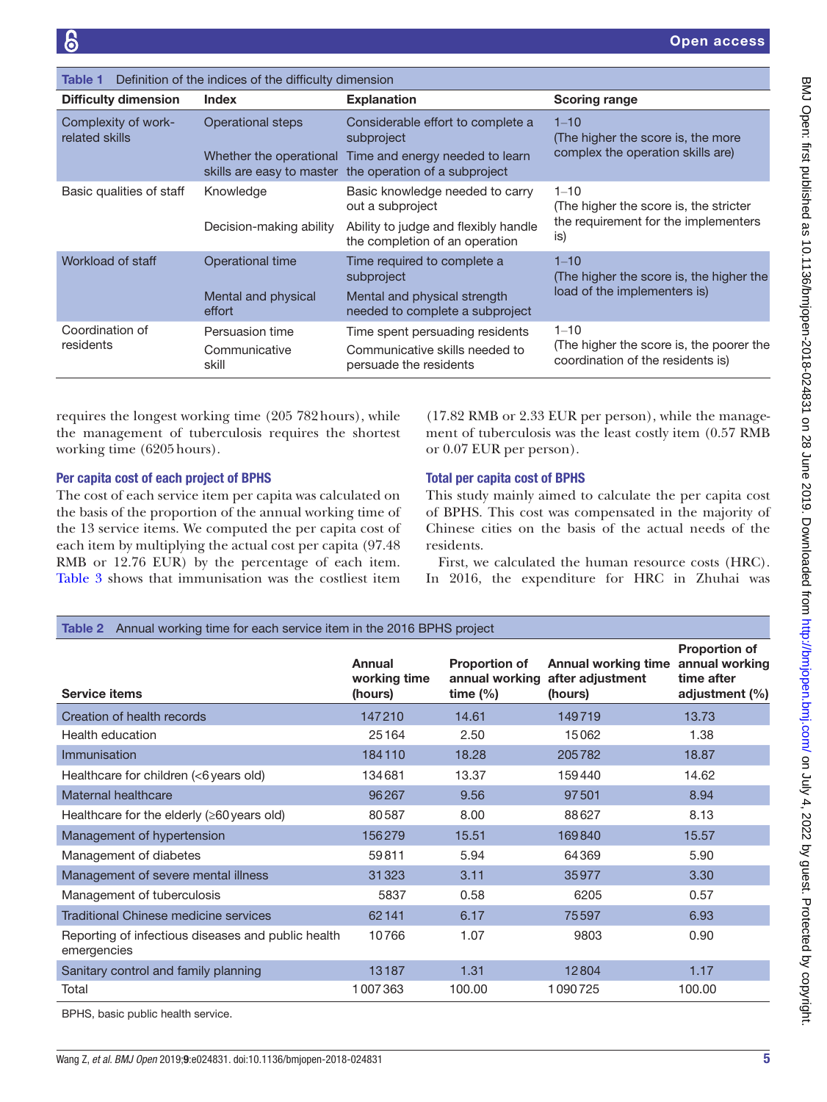<span id="page-4-0"></span>

| Definition of the indices of the difficulty dimension<br>Table 1 |                                                   |                                                                                                                                                                       |                                                                                                   |
|------------------------------------------------------------------|---------------------------------------------------|-----------------------------------------------------------------------------------------------------------------------------------------------------------------------|---------------------------------------------------------------------------------------------------|
| <b>Difficulty dimension</b>                                      | <b>Index</b>                                      | <b>Explanation</b>                                                                                                                                                    | <b>Scoring range</b>                                                                              |
| Complexity of work-<br>related skills                            | Operational steps                                 | Considerable effort to complete a<br>subproject<br>Whether the operational Time and energy needed to learn<br>skills are easy to master the operation of a subproject | $1 - 10$<br>(The higher the score is, the more<br>complex the operation skills are)               |
| Basic qualities of staff                                         | Knowledge<br>Decision-making ability              | Basic knowledge needed to carry<br>out a subproject<br>Ability to judge and flexibly handle<br>the completion of an operation                                         | $1 - 10$<br>(The higher the score is, the stricter<br>the requirement for the implementers<br>is) |
| Workload of staff                                                | Operational time<br>Mental and physical<br>effort | Time required to complete a<br>subproject<br>Mental and physical strength<br>needed to complete a subproject                                                          | $1 - 10$<br>(The higher the score is, the higher the<br>load of the implementers is)              |
| Coordination of<br>residents                                     | Persuasion time<br>Communicative<br>skill         | Time spent persuading residents<br>Communicative skills needed to<br>persuade the residents                                                                           | $1 - 10$<br>(The higher the score is, the poorer the<br>coordination of the residents is)         |

requires the longest working time (205 782hours), while the management of tuberculosis requires the shortest working time (6205hours).

# Per capita cost of each project of BPHS

The cost of each service item per capita was calculated on the basis of the proportion of the annual working time of the 13 service items. We computed the per capita cost of each item by multiplying the actual cost per capita (97.48 RMB or 12.76 EUR) by the percentage of each item. [Table](#page-5-0) 3 shows that immunisation was the costliest item

(17.82 RMB or 2.33 EUR per person), while the management of tuberculosis was the least costly item (0.57 RMB or 0.07 EUR per person).

# Total per capita cost of BPHS

This study mainly aimed to calculate the per capita cost of BPHS. This cost was compensated in the majority of Chinese cities on the basis of the actual needs of the residents.

First, we calculated the human resource costs (HRC). In 2016, the expenditure for HRC in Zhuhai was

<span id="page-4-1"></span>

| <b>Table 2</b> Annual working time for each service item in the 2016 BPHS project |                                   |                                                        |                                                           |                                                                        |
|-----------------------------------------------------------------------------------|-----------------------------------|--------------------------------------------------------|-----------------------------------------------------------|------------------------------------------------------------------------|
| <b>Service items</b>                                                              | Annual<br>working time<br>(hours) | <b>Proportion of</b><br>annual working<br>time $(\% )$ | <b>Annual working time</b><br>after adjustment<br>(hours) | <b>Proportion of</b><br>annual working<br>time after<br>adjustment (%) |
| Creation of health records                                                        | 147210                            | 14.61                                                  | 149719                                                    | 13.73                                                                  |
| Health education                                                                  | 25164                             | 2.50                                                   | 15062                                                     | 1.38                                                                   |
| <b>Immunisation</b>                                                               | 184110                            | 18.28                                                  | 205782                                                    | 18.87                                                                  |
| Healthcare for children (<6 years old)                                            | 134681                            | 13.37                                                  | 159440                                                    | 14.62                                                                  |
| Maternal healthcare                                                               | 96267                             | 9.56                                                   | 97501                                                     | 8.94                                                                   |
| Healthcare for the elderly $(≥60$ years old)                                      | 80587                             | 8.00                                                   | 88627                                                     | 8.13                                                                   |
| Management of hypertension                                                        | 156279                            | 15.51                                                  | 169840                                                    | 15.57                                                                  |
| Management of diabetes                                                            | 59811                             | 5.94                                                   | 64369                                                     | 5.90                                                                   |
| Management of severe mental illness                                               | 31323                             | 3.11                                                   | 35977                                                     | 3.30                                                                   |
| Management of tuberculosis                                                        | 5837                              | 0.58                                                   | 6205                                                      | 0.57                                                                   |
| <b>Traditional Chinese medicine services</b>                                      | 62141                             | 6.17                                                   | 75597                                                     | 6.93                                                                   |
| Reporting of infectious diseases and public health<br>emergencies                 | 10766                             | 1.07                                                   | 9803                                                      | 0.90                                                                   |
| Sanitary control and family planning                                              | 13187                             | 1.31                                                   | 12804                                                     | 1.17                                                                   |
| Total                                                                             | 1007363                           | 100.00                                                 | 1090725                                                   | 100.00                                                                 |
| BPHS, basic public health service.                                                |                                   |                                                        |                                                           |                                                                        |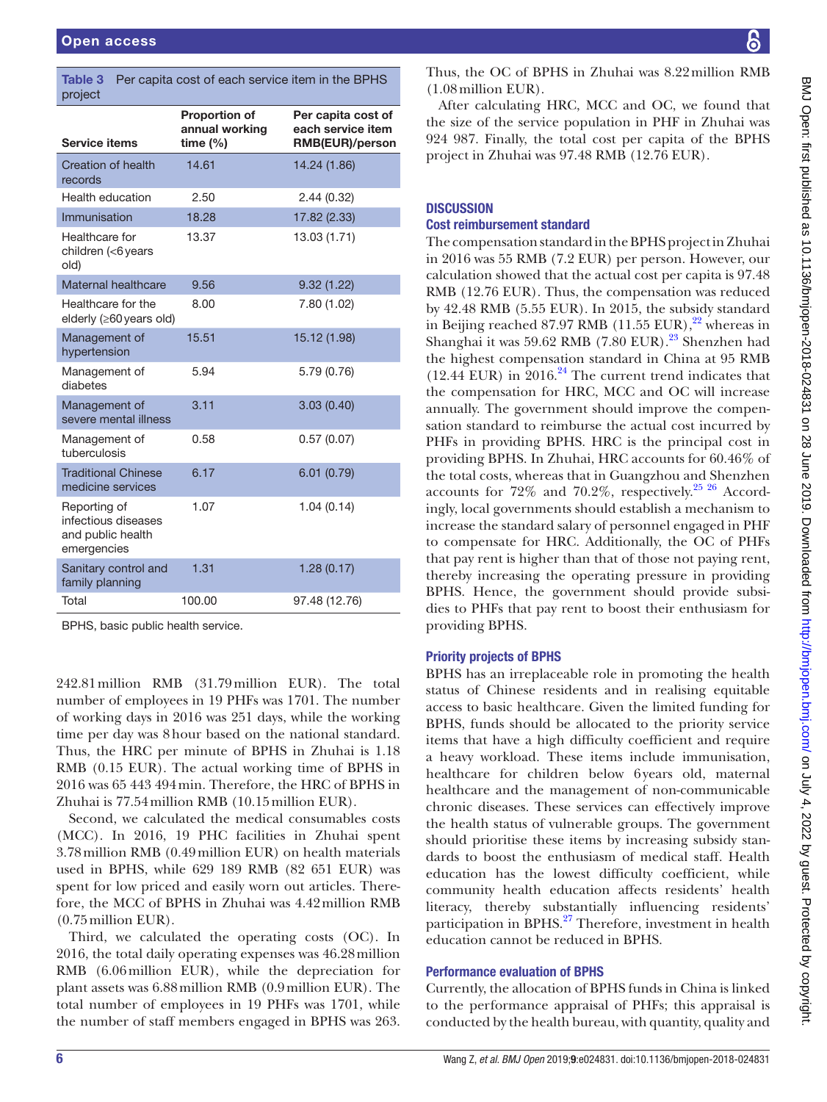<span id="page-5-0"></span>

| Per capita cost of each service item in the BPHS<br>Table 3<br>project |                                                    |                                                                   |  |
|------------------------------------------------------------------------|----------------------------------------------------|-------------------------------------------------------------------|--|
| <b>Service items</b>                                                   | <b>Proportion of</b><br>annual working<br>time (%) | Per capita cost of<br>each service item<br><b>RMB(EUR)/person</b> |  |
| Creation of health<br>records                                          | 14.61                                              | 14.24 (1.86)                                                      |  |
| Health education                                                       | 2.50                                               | 2.44(0.32)                                                        |  |
| Immunisation                                                           | 18.28                                              | 17.82 (2.33)                                                      |  |
| Healthcare for<br>children (<6 years<br>old)                           | 13.37                                              | 13.03 (1.71)                                                      |  |
| Maternal healthcare                                                    | 9.56                                               | 9.32(1.22)                                                        |  |
| Healthcare for the<br>elderly ( $\geq 60$ years old)                   | 8.00                                               | 7.80 (1.02)                                                       |  |
| Management of<br>hypertension                                          | 15.51                                              | 15.12 (1.98)                                                      |  |
| Management of                                                          | 5.94                                               | 5.79 (0.76)                                                       |  |

| diabetes                                                                |        |               |
|-------------------------------------------------------------------------|--------|---------------|
| Management of<br>severe mental illness                                  | 3.11   | 3.03(0.40)    |
| Management of<br>tuberculosis                                           | 0.58   | 0.57(0.07)    |
| <b>Traditional Chinese</b><br>medicine services                         | 6.17   | 6.01(0.79)    |
| Reporting of<br>infectious diseases<br>and public health<br>emergencies | 1.07   | 1.04(0.14)    |
| Sanitary control and<br>family planning                                 | 1.31   | 1.28(0.17)    |
| Total                                                                   | 100.00 | 97.48 (12.76) |

BPHS, basic public health service.

242.81million RMB (31.79million EUR). The total number of employees in 19 PHFs was 1701. The number of working days in 2016 was 251 days, while the working time per day was 8hour based on the national standard. Thus, the HRC per minute of BPHS in Zhuhai is 1.18 RMB (0.15 EUR). The actual working time of BPHS in 2016 was 65 443 494min. Therefore, the HRC of BPHS in Zhuhai is 77.54million RMB (10.15million EUR).

Second, we calculated the medical consumables costs (MCC). In 2016, 19 PHC facilities in Zhuhai spent 3.78million RMB (0.49million EUR) on health materials used in BPHS, while 629 189 RMB (82 651 EUR) was spent for low priced and easily worn out articles. Therefore, the MCC of BPHS in Zhuhai was 4.42million RMB (0.75million EUR).

Third, we calculated the operating costs (OC). In 2016, the total daily operating expenses was 46.28million RMB (6.06million EUR), while the depreciation for plant assets was 6.88million RMB (0.9million EUR). The total number of employees in 19 PHFs was 1701, while the number of staff members engaged in BPHS was 263.

Thus, the OC of BPHS in Zhuhai was 8.22million RMB (1.08million EUR).

After calculating HRC, MCC and OC, we found that the size of the service population in PHF in Zhuhai was 924 987. Finally, the total cost per capita of the BPHS project in Zhuhai was 97.48 RMB (12.76 EUR).

# **DISCUSSION**

# Cost reimbursement standard

The compensation standard in the BPHS project in Zhuhai in 2016 was 55 RMB (7.2 EUR) per person. However, our calculation showed that the actual cost per capita is 97.48 RMB (12.76 EUR). Thus, the compensation was reduced by 42.48 RMB (5.55 EUR). In 2015, the subsidy standard in Beijing reached 87.97 RMB  $(11.55 \text{ EUR})$ ,<sup>22</sup> whereas in Shanghai it was 59.62 RMB (7.80 EUR).<sup>23</sup> Shenzhen had the highest compensation standard in China at 95 RMB  $(12.44$  EUR) in  $2016.<sup>24</sup>$  The current trend indicates that the compensation for HRC, MCC and OC will increase annually. The government should improve the compensation standard to reimburse the actual cost incurred by PHFs in providing BPHS. HRC is the principal cost in providing BPHS. In Zhuhai, HRC accounts for 60.46% of the total costs, whereas that in Guangzhou and Shenzhen accounts for  $72\%$  and  $70.2\%$ , respectively.<sup>[25 26](#page-7-24)</sup> Accordingly, local governments should establish a mechanism to increase the standard salary of personnel engaged in PHF to compensate for HRC. Additionally, the OC of PHFs that pay rent is higher than that of those not paying rent, thereby increasing the operating pressure in providing BPHS. Hence, the government should provide subsidies to PHFs that pay rent to boost their enthusiasm for providing BPHS.

# Priority projects of BPHS

BPHS has an irreplaceable role in promoting the health status of Chinese residents and in realising equitable access to basic healthcare. Given the limited funding for BPHS, funds should be allocated to the priority service items that have a high difficulty coefficient and require a heavy workload. These items include immunisation, healthcare for children below 6years old, maternal healthcare and the management of non-communicable chronic diseases. These services can effectively improve the health status of vulnerable groups. The government should prioritise these items by increasing subsidy standards to boost the enthusiasm of medical staff. Health education has the lowest difficulty coefficient, while community health education affects residents' health literacy, thereby substantially influencing residents' participation in BPHS.<sup>27</sup> Therefore, investment in health education cannot be reduced in BPHS.

# Performance evaluation of BPHS

Currently, the allocation of BPHS funds in China is linked to the performance appraisal of PHFs; this appraisal is conducted by the health bureau, with quantity, quality and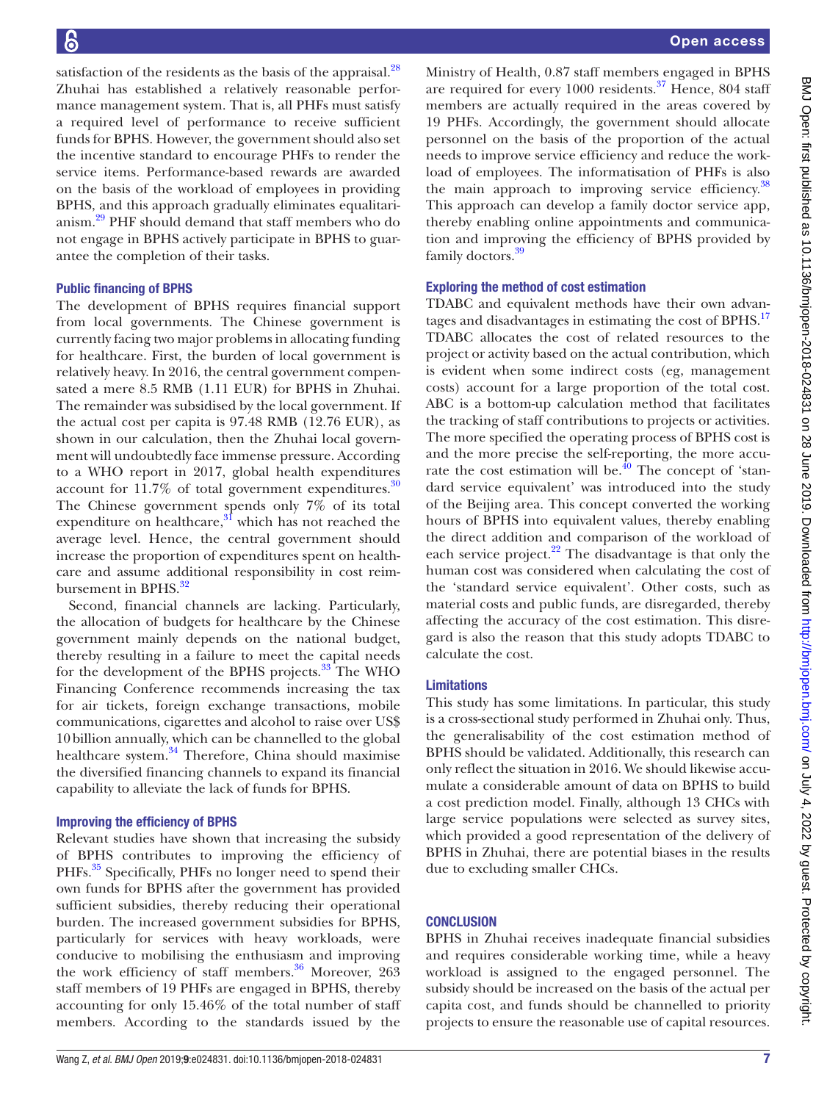satisfaction of the residents as the basis of the appraisal.<sup>28</sup> Zhuhai has established a relatively reasonable performance management system. That is, all PHFs must satisfy a required level of performance to receive sufficient funds for BPHS. However, the government should also set the incentive standard to encourage PHFs to render the service items. Performance-based rewards are awarded on the basis of the workload of employees in providing BPHS, and this approach gradually eliminates equalitarianism.[29](#page-7-27) PHF should demand that staff members who do not engage in BPHS actively participate in BPHS to guarantee the completion of their tasks.

# Public financing of BPHS

The development of BPHS requires financial support from local governments. The Chinese government is currently facing two major problems in allocating funding for healthcare. First, the burden of local government is relatively heavy. In 2016, the central government compensated a mere 8.5 RMB (1.11 EUR) for BPHS in Zhuhai. The remainder was subsidised by the local government. If the actual cost per capita is 97.48 RMB (12.76 EUR), as shown in our calculation, then the Zhuhai local government will undoubtedly face immense pressure. According to a WHO report in 2017, global health expenditures account for  $11.7\%$  of total government expenditures.<sup>[30](#page-7-28)</sup> The Chinese government spends only 7% of its total expenditure on healthcare, $\frac{3}{3}$  which has not reached the average level. Hence, the central government should increase the proportion of expenditures spent on healthcare and assume additional responsibility in cost reimbursement in BPHS.<sup>32</sup>

Second, financial channels are lacking. Particularly, the allocation of budgets for healthcare by the Chinese government mainly depends on the national budget, thereby resulting in a failure to meet the capital needs for the development of the BPHS projects.<sup>33</sup> The WHO Financing Conference recommends increasing the tax for air tickets, foreign exchange transactions, mobile communications, cigarettes and alcohol to raise over US\$ 10billion annually, which can be channelled to the global healthcare system.<sup>34</sup> Therefore, China should maximise the diversified financing channels to expand its financial capability to alleviate the lack of funds for BPHS.

# Improving the efficiency of BPHS

Relevant studies have shown that increasing the subsidy of BPHS contributes to improving the efficiency of PHFs.<sup>35</sup> Specifically, PHFs no longer need to spend their own funds for BPHS after the government has provided sufficient subsidies, thereby reducing their operational burden. The increased government subsidies for BPHS, particularly for services with heavy workloads, were conducive to mobilising the enthusiasm and improving the work efficiency of staff members.<sup>36</sup> Moreover, 263 staff members of 19 PHFs are engaged in BPHS, thereby accounting for only 15.46% of the total number of staff members. According to the standards issued by the

Ministry of Health, 0.87 staff members engaged in BPHS are required for every  $1000$  residents.<sup>37</sup> Hence, 804 staff members are actually required in the areas covered by 19 PHFs. Accordingly, the government should allocate personnel on the basis of the proportion of the actual needs to improve service efficiency and reduce the workload of employees. The informatisation of PHFs is also the main approach to improving service efficiency.<sup>[38](#page-7-36)</sup> This approach can develop a family doctor service app, thereby enabling online appointments and communication and improving the efficiency of BPHS provided by family doctors.<sup>[39](#page-7-37)</sup>

# Exploring the method of cost estimation

TDABC and equivalent methods have their own advan-tages and disadvantages in estimating the cost of BPHS.<sup>[17](#page-7-16)</sup> TDABC allocates the cost of related resources to the project or activity based on the actual contribution, which is evident when some indirect costs (eg, management costs) account for a large proportion of the total cost. ABC is a bottom-up calculation method that facilitates the tracking of staff contributions to projects or activities. The more specified the operating process of BPHS cost is and the more precise the self-reporting, the more accurate the cost estimation will be. $40$  The concept of 'standard service equivalent' was introduced into the study of the Beijing area. This concept converted the working hours of BPHS into equivalent values, thereby enabling the direct addition and comparison of the workload of each service project. $^{22}$  The disadvantage is that only the human cost was considered when calculating the cost of the 'standard service equivalent'. Other costs, such as material costs and public funds, are disregarded, thereby affecting the accuracy of the cost estimation. This disregard is also the reason that this study adopts TDABC to calculate the cost.

# Limitations

This study has some limitations. In particular, this study is a cross-sectional study performed in Zhuhai only. Thus, the generalisability of the cost estimation method of BPHS should be validated. Additionally, this research can only reflect the situation in 2016. We should likewise accumulate a considerable amount of data on BPHS to build a cost prediction model. Finally, although 13 CHCs with large service populations were selected as survey sites, which provided a good representation of the delivery of BPHS in Zhuhai, there are potential biases in the results due to excluding smaller CHCs.

# **CONCLUSION**

BPHS in Zhuhai receives inadequate financial subsidies and requires considerable working time, while a heavy workload is assigned to the engaged personnel. The subsidy should be increased on the basis of the actual per capita cost, and funds should be channelled to priority projects to ensure the reasonable use of capital resources.